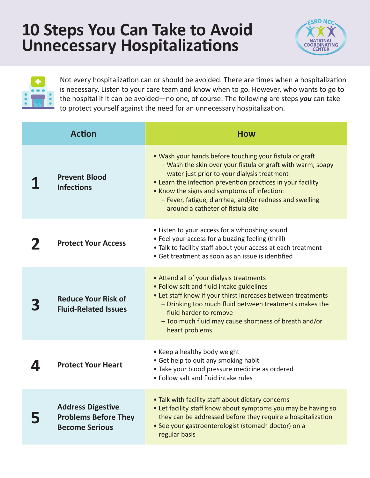## **10 Steps You Can Take to Avoid Unnecessary Hospitalizations**





Not every hospitalization can or should be avoided. There are times when a hospitalization is necessary. Listen to your care team and know when to go. However, who wants to go to the hospital if it can be avoided—no one, of course! The following are steps *you* can take to protect yourself against the need for an unnecessary hospitalization.

| <b>Action</b> |                                                                                  | <b>How</b>                                                                                                                                                                                                                                                                                                                                                                          |
|---------------|----------------------------------------------------------------------------------|-------------------------------------------------------------------------------------------------------------------------------------------------------------------------------------------------------------------------------------------------------------------------------------------------------------------------------------------------------------------------------------|
|               | <b>Prevent Blood</b><br><b>Infections</b>                                        | • Wash your hands before touching your fistula or graft<br>- Wash the skin over your fistula or graft with warm, soapy<br>water just prior to your dialysis treatment<br>• Learn the infection prevention practices in your facility<br>• Know the signs and symptoms of infection:<br>- Fever, fatigue, diarrhea, and/or redness and swelling<br>around a catheter of fistula site |
|               | <b>Protect Your Access</b>                                                       | • Listen to your access for a whooshing sound<br>• Feel your access for a buzzing feeling (thrill)<br>. Talk to facility staff about your access at each treatment<br>• Get treatment as soon as an issue is identified                                                                                                                                                             |
|               | <b>Reduce Your Risk of</b><br><b>Fluid-Related Issues</b>                        | • Attend all of your dialysis treatments<br>. Follow salt and fluid intake guidelines<br>• Let staff know if your thirst increases between treatments<br>- Drinking too much fluid between treatments makes the<br>fluid harder to remove<br>- Too much fluid may cause shortness of breath and/or<br>heart problems                                                                |
|               | <b>Protect Your Heart</b>                                                        | • Keep a healthy body weight<br>• Get help to quit any smoking habit<br>• Take your blood pressure medicine as ordered<br>. Follow salt and fluid intake rules                                                                                                                                                                                                                      |
|               | <b>Address Digestive</b><br><b>Problems Before They</b><br><b>Become Serious</b> | • Talk with facility staff about dietary concerns<br>• Let facility staff know about symptoms you may be having so<br>they can be addressed before they require a hospitalization<br>• See your gastroenterologist (stomach doctor) on a<br>regular basis                                                                                                                           |